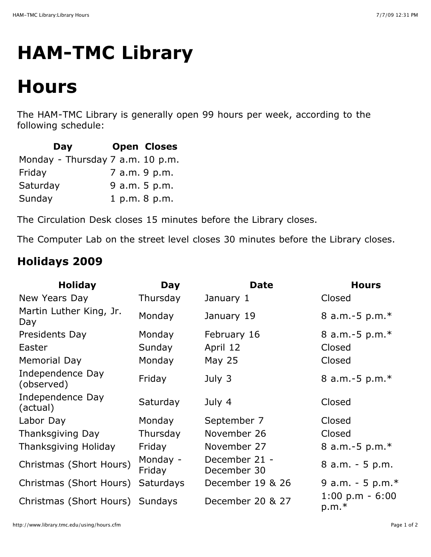## **HAM-TMC Library**

## **Hours**

The HAM-TMC Library is generally open 99 hours per week, according to the following schedule:

| Day                              | <b>Open Closes</b> |
|----------------------------------|--------------------|
| Monday - Thursday 7 a.m. 10 p.m. |                    |
| Friday                           | 7 a.m. 9 p.m.      |
| Saturday                         | 9 a.m. 5 p.m.      |
| Sunday                           | 1 p.m. 8 p.m.      |

The Circulation Desk closes 15 minutes before the Library closes.

The Computer Lab on the street level closes 30 minutes before the Library closes.

## **Holidays 2009**

| <b>Holiday</b>                  | Day                | <b>Date</b>                  | <b>Hours</b>                 |
|---------------------------------|--------------------|------------------------------|------------------------------|
| New Years Day                   | Thursday           | January 1                    | Closed                       |
| Martin Luther King, Jr.<br>Day  | Monday             | January 19                   | 8 a.m.-5 $p.m.*$             |
| Presidents Day                  | Monday             | February 16                  | 8 a.m.-5 $p.m.*$             |
| Easter                          | Sunday             | April 12                     | Closed                       |
| Memorial Day                    | Monday             | May 25                       | Closed                       |
| Independence Day<br>(observed)  | Friday             | July 3                       | 8 a.m.-5 $p.m.*$             |
| Independence Day<br>(actual)    | Saturday           | July 4                       | Closed                       |
| Labor Day                       | Monday             | September 7                  | Closed                       |
| Thanksgiving Day                | Thursday           | November 26                  | Closed                       |
| Thanksgiving Holiday            | Friday             | November 27                  | 8 a.m.-5 p.m.*               |
| Christmas (Short Hours)         | Monday -<br>Friday | December 21 -<br>December 30 | $8$ a.m. $-5$ p.m.           |
| Christmas (Short Hours)         | <b>Saturdays</b>   | December 19 & 26             | 9 a.m. - 5 p.m. $*$          |
| Christmas (Short Hours) Sundays |                    | December 20 & 27             | $1:00 p.m - 6:00$<br>$p.m.*$ |